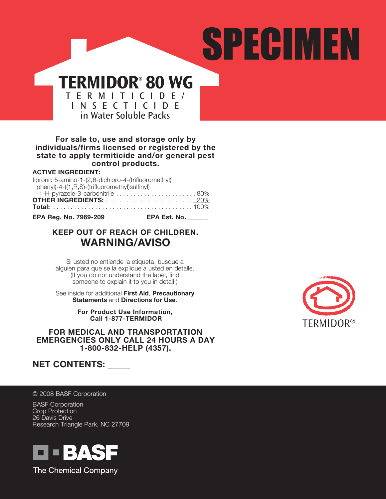# SPECIMEN

# **TERMIDOR® 80 WG** T E R M I T I C I D E /<br>I N S E C T I C I D E in Water Soluble Packs

### **For sale to, use and storage only by individuals/firms licensed or registered by the state to apply termiticide and/or general pest control products.**

### **ACTIVE INGREDIENT:**

| fipronil: 5-amino-1-(2,6-dichloro-4-(trifluoromethyl) |  |
|-------------------------------------------------------|--|
| phenyl)-4-((1,R,S)-(trifluoromethyl)sulfinyl)         |  |
| $-1$ -H-pyrazole-3-carbonitrile 80%                   |  |
|                                                       |  |
|                                                       |  |
|                                                       |  |

**EPA Reg. No. 7969-209 EPA Est. No. \_\_\_\_\_\_**

# **KEEP OUT OF REACH OF CHILDREN. WARNING/AVISO**

Si usted no entiende la etiqueta, busque a alguien para que se la explique a usted en detalle. (If you do not understand the label, find someone to explain it to you in detail.)

See inside for additional **First Aid**, **Precautionary Statements** and **Directions for Use**.

> **For Product Use Information, Call 1-877-TERMIDOR**

**FOR MEDICAL AND TRANSPORTATION EMERGENCIES ONLY CALL 24 HOURS A DAY 1-800-832-HELP (4357).**



# **NET CONTENTS: \_\_\_\_\_**

© 2008 BASF Corporation

BASF Corporation Crop Protection 26 Davis Drive Research Triangle Park, NC 27709



The Chemical Company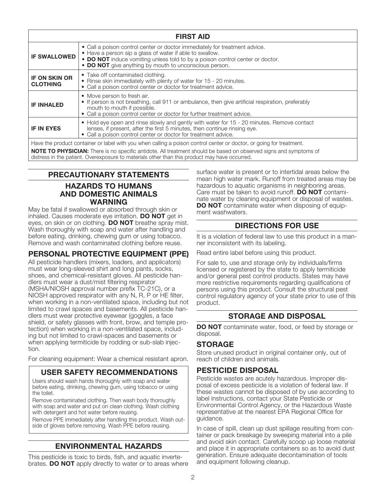| <b>FIRST AID</b>                        |                                                                                                                                                                                                                                                                                   |  |  |  |
|-----------------------------------------|-----------------------------------------------------------------------------------------------------------------------------------------------------------------------------------------------------------------------------------------------------------------------------------|--|--|--|
| <b>IF SWALLOWED</b>                     | • Call a poison control center or doctor immediately for treatment advice.<br>• Have a person sip a glass of water if able to swallow.<br>• DO NOT induce vomiting unless told to by a poison control center or doctor.<br>• DO NOT give anything by mouth to unconscious person. |  |  |  |
| <b>IF ON SKIN OR</b><br><b>CLOTHING</b> | • Take off contaminated clothing.<br>• Rinse skin immediately with plenty of water for 15 - 20 minutes.<br>• Call a poison control center or doctor for treatment advice.                                                                                                         |  |  |  |
| <b>IF INHALED</b>                       | • Move person to fresh air.<br>• If person is not breathing, call 911 or ambulance, then give artificial respiration, preferably<br>mouth to mouth if possible.<br>• Call a poison control center or doctor for further treatment advice.                                         |  |  |  |
| <b>IF IN EYES</b>                       | • Hold eye open and rinse slowly and gently with water for 15 - 20 minutes. Remove contact<br>lenses, if present, after the first 5 minutes, then continue rinsing eye.<br>• Call a poison control center or doctor for treatment advice.                                         |  |  |  |
|                                         | Have the product container or label with you when calling a poison control center or doctor, or going for treatment.                                                                                                                                                              |  |  |  |

**NOTE TO PHYSICIAN:** There is no specific antidote. All treatment should be based on observed signs and symptoms of distress in the patient. Overexposure to materials other than this product may have occurred.

# **PRECAUTIONARY STATEMENTS HAZARDS TO HUMANS AND DOMESTIC ANIMALS WARNING**

May be fatal if swallowed or absorbed through skin or inhaled. Causes moderate eye irritation. **DO NOT** get in eyes, on skin or on clothing. **DO NOT** breathe spray mist. Wash thoroughly with soap and water after handling and before eating, drinking, chewing gum or using tobacco. Remove and wash contaminated clothing before reuse.

# **PERSONAL PROTECTIVE EQUIPMENT (PPE)**

All pesticide handlers (mixers, loaders, and applicators) must wear long-sleeved shirt and long pants, socks, shoes, and chemical-resistant gloves. All pesticide handlers must wear a dust/mist filtering respirator (MSHA/NIOSH approval number prefix TC-21C), or a NIOSH approved respirator with any N, R, P or HE filter, when working in a non-ventilated space, including but not limited to crawl spaces and basements. All pesticide handlers must wear protective eyewear (goggles, a face shield, or safety glasses with front, brow, and temple protection) when working in a non-ventilated space, including but not limited to crawl-spaces and basements or when applying termiticide by rodding or sub-slab injection.

For cleaning equipment: Wear a chemical resistant apron.

# **USER SAFETY RECOMMENDATIONS**

Users should wash hands thoroughly with soap and water before eating, drinking, chewing gum, using tobacco or using the toilet.

Remove contaminated clothing. Then wash body thoroughly with soap and water and put on clean clothing. Wash clothing with detergent and hot water before reusing.

Remove PPE immediately after handling this product. Wash outside of gloves before removing. Wash PPE before reusing.

# **ENVIRONMENTAL HAZARDS**

This pesticide is toxic to birds, fish, and aquatic invertebrates. **DO NOT** apply directly to water or to areas where

surface water is present or to intertidal areas below the mean high water mark. Runoff from treated areas may be hazardous to aquatic organisms in neighboring areas. Care must be taken to avoid runoff. **DO NOT** contaminate water by cleaning equipment or disposal of wastes. **DO NOT** contaminate water when disposing of equipment washwaters.

# **DIRECTIONS FOR USE**

It is a violation of federal law to use this product in a manner inconsistent with its labeling.

Read entire label before using this product.

For sale to, use and storage only by individuals/firms licensed or registered by the state to apply termiticide and/or general pest control products. States may have more restrictive requirements regarding qualifications of persons using this product. Consult the structural pest control regulatory agency of your state prior to use of this product.

# **STORAGE AND DISPOSAL**

**DO NOT** contaminate water, food, or feed by storage or disposal.

# **STORAGE**

Store unused product in original container only, out of reach of children and animals.

# **PESTICIDE DISPOSAL**

Pesticide wastes are acutely hazardous. Improper disposal of excess pesticide is a violation of federal law. If these wastes cannot be disposed of by use according to label instructions, contact your State Pesticide or Environmental Control Agency, or the Hazardous Waste representative at the nearest EPA Regional Office for guidance.

In case of spill, clean up dust spillage resulting from container or pack breakage by sweeping material into a pile and avoid skin contact. Carefully scoop up loose material and place it in appropriate containers so as to avoid dust generation. Ensure adequate decontamination of tools and equipment following cleanup.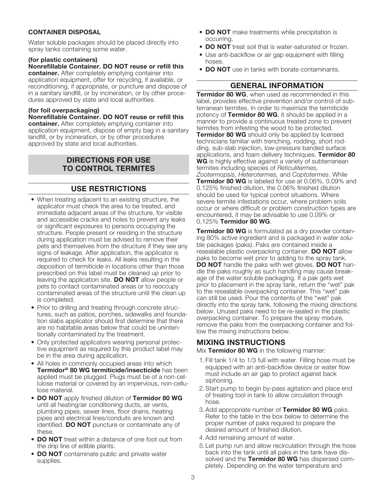### **CONTAINER DISPOSAL**

Water soluble packages should be placed directly into spray tanks containing some water.

### **(for plastic containers)**

**Nonrefillable Container. DO NOT reuse or refill this container.** After completely emptying container into application equipment, offer for recycling, if available, or reconditioning, if appropriate, or puncture and dispose of in a sanitary landfill, or by incineration, or by other procedures approved by state and local authorities.

### **(for foil overpackaging)**

**Nonrefillable Container. DO NOT reuse or refill this container.** After completely emptying container into application equipment, dispose of empty bag in a sanitary landfill, or by incineration, or by other procedures approved by state and local authorities.

# **DIRECTIONS FOR USE TO CONTROL TERMITES**

# **USE RESTRICTIONS**

- When treating adjacent to an existing structure, the applicator must check the area to be treated, and immediate adjacent areas of the structure, for visible and accessible cracks and holes to prevent any leaks or significant exposures to persons occupying the structure. People present or residing in the structure during application must be advised to remove their pets and themselves from the structure if they see any signs of leakage. After application, the applicator is required to check for leaks. All leaks resulting in the deposition of termiticide in locations other than those prescribed on this label must be cleaned up prior to leaving the application site. **DO NOT** allow people or pets to contact contaminated areas or to reoccupy contaminated areas of the structure until the clean up is completed.
- Prior to drilling and treating through concrete structures, such as patios, porches, sidewalks and foundation slabs applicator should first determine that there are no habitable areas below that could be unintentionally contaminated by the treatment.
- Only protected applicators wearing personal protective equipment as required by this product label may be in the area during application.
- All holes in commonly occupied areas into which **Termidor® 80 WG termiticide/insecticide** has been applied must be plugged. Plugs must be of a non-cellulose material or covered by an impervious, non-cellulose material.
- **DO NOT** apply finished dilution of **Termidor 80 WG** until all heating/air conditioning ducts, air vents, plumbing pipes, sewer lines, floor drains, heating pipes and electrical lines/conduits are known and identified. **DO NOT** puncture or contaminate any of these.
- **DO NOT** treat within a distance of one foot out from the drip line of edible plants.
- **DO NOT** contaminate public and private water supplies.
- **DO NOT** make treatments while precipitation is occurring.
- **DO NOT** treat soil that is water-saturated or frozen.
- Use anti-backflow or air gap equipment with filling hoses.
- **DO NOT** use in tanks with borate contaminants.

### **GENERAL INFORMATION**

**Termidor 80 WG**, when used as recommended in this label, provides effective prevention and/or control of subterranean termites. In order to maximize the termiticide potency of **Termidor 80 WG**, it should be applied in a manner to provide a continuous treated zone to prevent termites from infesting the wood to be protected. **Termidor 80 WG** should only be applied by licensed technicians familiar with trenching, rodding, short rodding, sub-slab injection, low-pressure banded surface applications, and foam delivery techniques. **Termidor 80 WG** is highly effective against a variety of subterranean termites including species of *Reticulitermes, Zootermopsis, Heterotermes,* and *Coptotermes*. While **Termidor 80 WG** is labeled for use at 0.06%, 0.09% and 0.125% finished dilution, the 0.06% finished dilution should be used for typical control situations. Where severe termite infestations occur, where problem soils occur or where difficult or problem construction types are encountered, it may be advisable to use 0.09% or 0.125% **Termidor 80 WG**.

**Termidor 80 WG** is formulated as a dry powder containing 80% active ingredient and is packaged in water soluble packages (paks). Paks are contained inside a resealable plastic overpacking container. **DO NOT** allow paks to become wet prior to adding to the spray tank. **DO NOT** handle the paks with wet gloves. **DO NOT** handle the paks roughly as such handling may cause breakage of the water soluble packaging. If a pak gets wet prior to placement in the spray tank, return the "wet" pak to the resealable overpacking container. This "wet" pak can still be used. Pour the contents of the "wet" pak directly into the spray tank, following the mixing directions below. Unused paks need to be re-sealed in the plastic overpacking container. To prepare the spray mixture, remove the paks from the overpacking container and follow the mixing instructions below.

# **MIXING INSTRUCTIONS**

Mix **Termidor 80 WG** in the following manner:

- 1.Fill tank 1/4 to 1/3 full with water. Filling hose must be equipped with an anti-backflow device or water flow must include an air gap to protect against back siphoning.
- 2.Start pump to begin by-pass agitation and place end of treating tool in tank to allow circulation through hose.
- 3.Add appropriate number of **Termidor 80 WG** paks. Refer to the table in the box below to determine the proper number of paks required to prepare the desired amount of finished dilution.
- 4.Add remaining amount of water.
- 5.Let pump run and allow recirculation through the hose back into the tank until all paks in the tank have dissolved and the **Termidor 80 WG** has dispersed completely. Depending on the water temperature and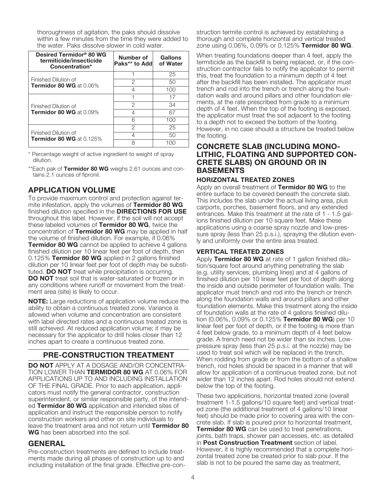thoroughness of agitation, the paks should dissolve within a few minutes from the time they were added to the water. Paks dissolve slower in cold water.

| Desired Termidor <sup>®</sup> 80 WG<br>termiticide/insecticide<br>Concentration* | Number of<br>Paks** to Add | Gallons<br>of Water |
|----------------------------------------------------------------------------------|----------------------------|---------------------|
| Finished Dilution of<br>Termidor 80 WG at 0.06%                                  |                            | 25                  |
|                                                                                  | 2                          | 50                  |
|                                                                                  |                            | 100                 |
|                                                                                  |                            | 17                  |
| Finished Dilution of                                                             | 2                          | 34                  |
| Termidor 80 WG at 0.09%                                                          |                            | 67                  |
|                                                                                  | Բ                          | 100                 |
|                                                                                  | 2                          | 25                  |
| Finished Dilution of<br><b>Termidor 80 WG</b> at $0.125\%$                       |                            | 50                  |
|                                                                                  |                            |                     |

\* Percentage weight of active ingredient to weight of spray dilution.

\*\*Each pak of **Termidor 80 WG** weighs 2.61 ounces and contains 2.1 ounces of fipronil.

# **APPLICATION VOLUME**

To provide maximum control and protection against termite infestation, apply the volumes of **Termidor 80 WG** finished dilution specified in the **DIRECTIONS FOR USE** throughout this label. However, if the soil will not accept these labeled volumes of **Termidor 80 WG**, twice the concentration of **Termidor 80 WG** may be applied in half the volume of finished dilution. For example, if 0.06% **Termidor 80 WG** cannot be applied to achieve 4 gallons finished dilution per 10 linear feet per foot of depth, then 0.125% **Termidor 80 WG** applied in 2 gallons finished dilution per 10 linear feet per foot of depth may be substituted. **DO NOT** treat while precipitation is occurring. **DO NOT** treat soil that is water-saturated or frozen or in any conditions where runoff or movement from the treatment area (site) is likely to occur.

**NOTE:** Large reductions of application volume reduce the ability to obtain a continuous treated zone. Variance is allowed when volume and concentration are consistent with label directed rates and a continuous treated zone is still achieved. At reduced application volume; it may be necessary for the applicator to drill holes closer than 12 inches apart to create a continuous treated zone.

# **PRE-CONSTRUCTION TREATMENT**

**DO NOT** APPLY AT A DOSAGE AND/OR CONCENTRA-TION LOWER THAN **TERMIDOR 80 WG** AT 0.06% FOR APPLICATIONS UP TO AND INCLUDING INSTALLATION OF THE FINAL GRADE. Prior to each application, applicators must notify the general contractor, construction superintendent, or similar responsible party, of the intended **Termidor 80 WG** application and intended sites of application and instruct the responsible person to notify construction workers and other on site individuals to leave the treatment area and not return until **Termidor 80 WG** has been absorbed into the soil.

# **GENERAL**

Pre-construction treatments are defined to include treatments made during all phases of construction up to and including installation of the final grade. Effective pre-con-

struction termite control is achieved by establishing a thorough and complete horizontal and vertical treated zone using 0.06%, 0.09% or 0.125% **Termidor 80 WG**.

When treating foundations deeper than 4 feet, apply the termiticide as the backfill is being replaced, or, if the construction contractor fails to notify the applicator to permit this, treat the foundation to a minimum depth of 4 feet after the backfill has been installed. The applicator must trench and rod into the trench or trench along the foundation walls and around pillars and other foundation elements, at the rate prescribed from grade to a minimum depth of 4 feet. When the top of the footing is exposed, the applicator must treat the soil adjacent to the footing to a depth not to exceed the bottom of the footing. However, in no case should a structure be treated below the footing.

# **CONCRETE SLAB (INCLUDING MONO-LITHIC, FLOATING AND SUPPORTED CON-CRETE SLABS) ON GROUND OR IN BASEMENTS**

### **HORIZONTAL TREATED ZONES**

Apply an overall treatment of **Termidor 80 WG** to the entire surface to be covered beneath the concrete slab. This includes the slab under the actual living area, plus carports, porches, basement floors, and any extended entrances. Make this treatment at the rate of 1 - 1.5 gallons finished dilution per 10 square feet. Make these applications using a coarse spray nozzle and low-pressure spray (less than 25 p.s.i.), spraying the dilution evenly and uniformly over the entire area treated.

# **VERTICAL TREATED ZONES**

Apply **Termidor 80 WG** at rate of 1 gallon finished dilution/square foot around anything penetrating the slab (e.g. utility services, plumbing lines) and at 4 gallons of finished dilution per 10 linear feet per foot of depth along the inside and outside perimeter of foundation walls. The applicator must trench and rod into the trench or trench along the foundation walls and around pillars and other foundation elements. Make this treatment along the inside of foundation walls at the rate of 4 gallons finished dilution (0.06%, 0.09% or 0.125% **Termidor 80 WG**) per 10 linear feet per foot of depth, or if the footing is more than 4 feet below grade, to a minimum depth of 4 feet below grade. A trench need not be wider than six inches. Lowpressure spray (less than 25 p.s.i. at the nozzle) may be used to treat soil which will be replaced in the trench. When rodding from grade or from the bottom of a shallow trench, rod holes should be spaced in a manner that will allow for application of a continuous treated zone, but not wider than 12 inches apart. Rod holes should not extend below the top of the footing.

These two applications, horizontal treated zone (overall treatment 1-1.5 gallons/10 square feet) and vertical treated zone (the additional treatment of 4 gallons/10 linear feet) should be made prior to covering area with the concrete slab. If slab is poured prior to horizontal treatment, **Termidor 80 WG** can be used to treat penetrations, joints, bath traps, shower pan accesses, etc. as detailed in **Post Construction Treatment** section of label. However, it is highly recommended that a complete horizontal treated zone be created prior to slab pour. If the slab is not to be poured the same day as treatment,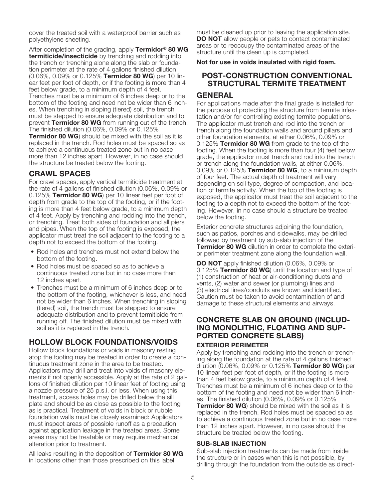cover the treated soil with a waterproof barrier such as polyethylene sheeting.

After completion of the grading, apply **Termidor® 80 WG termiticide/insecticide** by trenching and rodding into the trench or trenching alone along the slab or foundation perimeter at the rate of 4 gallons finished dilution (0.06%, 0.09% or 0.125% **Termidor 80 WG**) per 10 linear feet per foot of depth, or if the footing is more than 4 feet below grade, to a minimum depth of 4 feet. Trenches must be a minimum of 6 inches deep or to the bottom of the footing and need not be wider than 6 inches. When trenching in sloping (tiered) soil, the trench must be stepped to ensure adequate distribution and to prevent **Termidor 80 WG** from running out of the trench. The finished dilution (0.06%, 0.09% or 0.125% **Termidor 80 WG**) should be mixed with the soil as it is replaced in the trench. Rod holes must be spaced so as to achieve a continuous treated zone but in no case more than 12 inches apart. However, in no case should the structure be treated below the footing.

# **CRAWL SPACES**

For crawl spaces, apply vertical termiticide treatment at the rate of 4 gallons of finished dilution (0.06%, 0.09% or 0.125% **Termidor 80 WG**) per 10 linear feet per foot of depth from grade to the top of the footing, or if the footing is more than 4 feet below grade, to a minimum depth of 4 feet. Apply by trenching and rodding into the trench, or trenching. Treat both sides of foundation and all piers and pipes. When the top of the footing is exposed, the applicator must treat the soil adjacent to the footing to a depth not to exceed the bottom of the footing.

- Rod holes and trenches must not extend below the bottom of the footing.
- Rod holes must be spaced so as to achieve a continuous treated zone but in no case more than 12 inches apart.
- Trenches must be a minimum of 6 inches deep or to the bottom of the footing, whichever is less, and need not be wider than 6 inches. When trenching in sloping (tiered) soil, the trench must be stepped to ensure adequate distribution and to prevent termiticide from running off. The finished dilution must be mixed with soil as it is replaced in the trench.

# **HOLLOW BLOCK FOUNDATIONS/VOIDS**

Hollow block foundations or voids in masonry resting atop the footing may be treated in order to create a continuous treatment zone in the area to be treated. Applicators may drill and treat into voids of masonry elements if not openly accessible. Apply at the rate of 2 gallons of finished dilution per 10 linear feet of footing using a nozzle pressure of 25 p.s.i. or less. When using this treatment, access holes may be drilled below the sill plate and should be as close as possible to the footing as is practical. Treatment of voids in block or rubble foundation walls must be closely examined: Applicators must inspect areas of possible runoff as a precaution against application leakage in the treated areas. Some areas may not be treatable or may require mechanical alteration prior to treatment.

All leaks resulting in the deposition of **Termidor 80 WG** in locations other than those prescribed on this label

must be cleaned up prior to leaving the application site. **DO NOT** allow people or pets to contact contaminated areas or to reoccupy the contaminated areas of the structure until the clean up is completed.

### **Not for use in voids insulated with rigid foam.**

# **POST-CONSTRUCTION CONVENTIONAL STRUCTURAL TERMITE TREATMENT**

# **GENERAL**

For applications made after the final grade is installed for the purpose of protecting the structure from termite infestation and/or for controlling existing termite populations. The applicator must trench and rod into the trench or trench along the foundation walls and around pillars and other foundation elements, at either 0.06%, 0.09% or 0.125% **Termidor 80 WG** from grade to the top of the footing. When the footing is more than four (4) feet below grade, the applicator must trench and rod into the trench or trench along the foundation walls, at either 0.06%, 0.09% or 0.125% **Termidor 80 WG**, to a minimum depth of four feet. The actual depth of treatment will vary depending on soil type, degree of compaction, and location of termite activity. When the top of the footing is exposed, the applicator must treat the soil adjacent to the footing to a depth not to exceed the bottom of the footing. However, in no case should a structure be treated below the footing.

Exterior concrete structures adjoining the foundation, such as patios, porches and sidewalks, may be drilled followed by treatment by sub-slab injection of the **Termidor 80 WG** dilution in order to complete the exterior perimeter treatment zone along the foundation wall.

**DO NOT** apply finished dilution (0.06%, 0.09% or 0.125% **Termidor 80 WG**) until the location and type of (1) construction of heat or air-conditioning ducts and vents, (2) water and sewer (or plumbing) lines and (3) electrical lines/conduits are known and identified. Caution must be taken to avoid contamination of and damage to these structural elements and airways.

# **CONCRETE SLAB ON GROUND (INCLUD-ING MONOLITHIC, FLOATING AND SUP-PORTED CONCRETE SLABS) EXTERIOR PERIMETER**

Apply by trenching and rodding into the trench or trenching along the foundation at the rate of 4 gallons finished dilution (0.06%, 0.09% or 0.125% **Termidor 80 WG**) per 10 linear feet per foot of depth, or if the footing is more than 4 feet below grade, to a minimum depth of 4 feet. Trenches must be a minimum of 6 inches deep or to the bottom of the footing and need not be wider than 6 inches. The finished dilution (0.06%, 0.09% or 0.125%

**Termidor 80 WG**) should be mixed with the soil as it is replaced in the trench. Rod holes must be spaced so as to achieve a continuous treated zone but in no case more than 12 inches apart. However, in no case should the structure be treated below the footing.

### **SUB-SLAB INJECTION**

Sub-slab injection treatments can be made from inside the structure or in cases when this is not possible, by drilling through the foundation from the outside as direct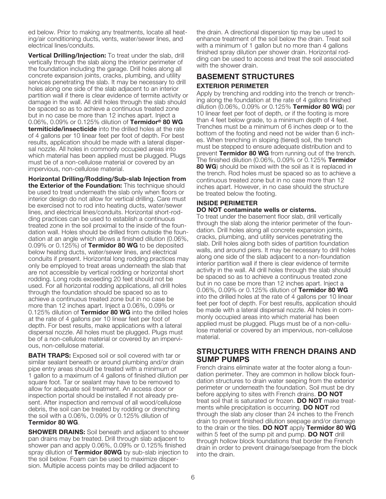ed below. Prior to making any treatments, locate all heating/air conditioning ducts, vents, water/sewer lines, and electrical lines/conduits.

**Vertical Drilling/Injection:** To treat under the slab, drill vertically through the slab along the interior perimeter of the foundation including the garage. Drill holes along all concrete expansion joints, cracks, plumbing, and utility services penetrating the slab. It may be necessary to drill holes along one side of the slab adjacent to an interior partition wall if there is clear evidence of termite activity or damage in the wall. All drill holes through the slab should be spaced so as to achieve a continuous treated zone but in no case be more than 12 inches apart. Inject a 0.06%, 0.09% or 0.125% dilution of **Termidor® 80 WG termiticide/insecticide** into the drilled holes at the rate of 4 gallons per 10 linear feet per foot of depth. For best results, application should be made with a lateral dispersal nozzle. All holes in commonly occupied areas into which material has been applied must be plugged. Plugs must be of a non-cellulose material or covered by an impervious, non-cellulose material.

**Horizontal Drilling/Rodding/Sub-slab Injection from the Exterior of the Foundation:** This technique should be used to treat underneath the slab only when floors or interior design do not allow for vertical drilling. Care must be exercised not to rod into heating ducts, water/sewer lines, and electrical lines/conduits. Horizontal short-rodding practices can be used to establish a continuous treated zone in the soil proximal to the inside of the foundation wall. Holes should be drilled from outside the foundation at an angle which allows a finished dilution (0.06%, 0.09% or 0.125%) of **Termidor 80 WG** to be deposited below heating ducts, water/sewer lines, and electrical conduits if present. Horizontal long rodding practices may only be employed to treat areas underneath the slab that are not accessible by vertical rodding or horizontal short rodding. Long rods exceeding 20 feet should not be used. For all horizontal rodding applications, all drill holes through the foundation should be spaced so as to achieve a continuous treated zone but in no case be more than 12 inches apart. Inject a 0.06%, 0.09% or 0.125% dilution of **Termidor 80 WG** into the drilled holes at the rate of 4 gallons per 10 linear feet per foot of depth. For best results, make applications with a lateral dispersal nozzle. All holes must be plugged. Plugs must be of a non-cellulose material or covered by an impervious, non-cellulose material.

**BATH TRAPS:** Exposed soil or soil covered with tar or similar sealant beneath or around plumbing and/or drain pipe entry areas should be treated with a minimum of 1 gallon to a maximum of 4 gallons of finished dilution per square foot. Tar or sealant may have to be removed to allow for adequate soil treatment. An access door or inspection portal should be installed if not already present. After inspection and removal of all wood/cellulose debris, the soil can be treated by rodding or drenching the soil with a 0.06%, 0.09% or 0.125% dilution of **Termidor 80 WG**.

**SHOWER DRAINS:** Soil beneath and adjacent to shower pan drains may be treated. Drill through slab adjacent to shower pan and apply 0.06%, 0.09% or 0.125% finished spray dilution of **Termidor 80WG** by sub-slab injection to the soil below. Foam can be used to maximize dispersion. Multiple access points may be drilled adjacent to

the drain. A directional dispersion tip may be used to enhance treatment of the soil below the drain. Treat soil with a minimum of 1 gallon but no more than 4 gallons finished spray dilution per shower drain. Horizontal rodding can be used to access and treat the soil associated with the shower drain.

# **BASEMENT STRUCTURES EXTERIOR PERIMETER**

Apply by trenching and rodding into the trench or trenching along the foundation at the rate of 4 gallons finished dilution (0.06%, 0.09% or 0.125% **Termidor 80 WG**) per 10 linear feet per foot of depth, or if the footing is more than 4 feet below grade, to a minimum depth of 4 feet. Trenches must be a minimum of 6 inches deep or to the bottom of the footing and need not be wider than 6 inches. When trenching in sloping (tiered) soil, the trench must be stepped to ensure adequate distribution and to prevent **Termidor 80 WG** from running out of the trench. The finished dilution (0.06%, 0.09% or 0.125% **Termidor 80 WG**) should be mixed with the soil as it is replaced in the trench. Rod holes must be spaced so as to achieve a continuous treated zone but in no case more than 12 inches apart. However, in no case should the structure be treated below the footing.

# **INSIDE PERIMETER**

### **DO NOT contaminate wells or cisterns.**

To treat under the basement floor slab, drill vertically through the slab along the interior perimeter of the foundation. Drill holes along all concrete expansion joints, cracks, plumbing, and utility services penetrating the slab. Drill holes along both sides of partition foundation walls, and around piers. It may be necessary to drill holes along one side of the slab adjacent to a non-foundation interior partition wall if there is clear evidence of termite activity in the wall. All drill holes through the slab should be spaced so as to achieve a continuous treated zone but in no case be more than 12 inches apart. Inject a 0.06%, 0.09% or 0.125% dilution of **Termidor 80 WG** into the drilled holes at the rate of 4 gallons per 10 linear feet per foot of depth. For best results, application should be made with a lateral dispersal nozzle. All holes in commonly occupied areas into which material has been applied must be plugged. Plugs must be of a non-cellulose material or covered by an impervious, non-cellulose material.

# **STRUCTURES WITH FRENCH DRAINS AND SUMP PUMPS**

French drains eliminate water at the footer along a foundation perimeter. They are common in hollow block foundation structures to drain water seeping from the exterior perimeter or underneath the foundation. Soil must be dry before applying to sites with French drains. **DO NOT** treat soil that is saturated or frozen. **DO NOT** make treatments while precipitation is occurring. **DO NOT** rod through the slab any closer than 24 inches to the French drain to prevent finished dilution seepage and/or damage to the drain or the tiles. **DO NOT** apply **Termidor 80 WG** within 5 feet of the sump pit and pump. **DO NOT** drill through hollow block foundations that border the French drain in order to prevent drainage/seepage from the block into the drain.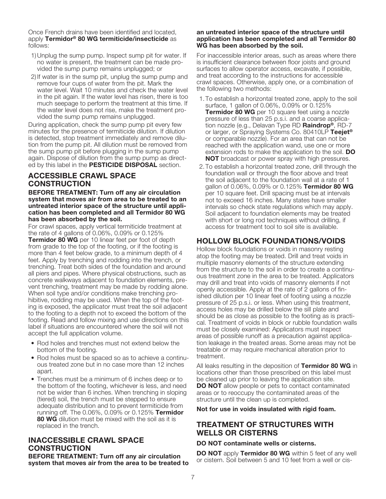Once French drains have been identified and located, apply **Termidor® 80 WG termiticide/insecticide** as follows:

- 1) Unplug the sump pump. Inspect sump pit for water. If no water is present, the treatment can be made provided the sump pump remains unplugged; or
- 2) If water is in the sump pit, unplug the sump pump and remove four cups of water from the pit. Mark the water level. Wait 10 minutes and check the water level in the pit again. If the water level has risen, there is too much seepage to perform the treatment at this time. If the water level does not rise, make the treatment provided the sump pump remains unplugged.

During application, check the sump pump pit every few minutes for the presence of termiticide dilution. If dilution is detected, stop treatment immediately and remove dilution from the pump pit. All dilution must be removed from the sump pump pit before plugging in the sump pump again. Dispose of dilution from the sump pump as directed by this label in the **PESTICIDE DISPOSAL** section.

# **ACCESSIBLE CRAWL SPACE CONSTRUCTION**

**BEFORE TREATMENT: Turn off any air circulation system that moves air from area to be treated to an untreated interior space of the structure until application has been completed and all Termidor 80 WG has been absorbed by the soil.**

For crawl spaces, apply vertical termiticide treatment at the rate of 4 gallons of 0.06%, 0.09% or 0.125%

**Termidor 80 WG** per 10 linear feet per foot of depth from grade to the top of the footing, or if the footing is more than 4 feet below grade, to a minimum depth of 4 feet. Apply by trenching and rodding into the trench, or trenching. Treat both sides of the foundation and around all piers and pipes. Where physical obstructions, such as concrete walkways adjacent to foundation elements, prevent trenching, treatment may be made by rodding alone. When soil type and/or conditions make trenching prohibitive, rodding may be used. When the top of the footing is exposed, the applicator must treat the soil adjacent to the footing to a depth not to exceed the bottom of the footing. Read and follow mixing and use directions on this label if situations are encountered where the soil will not accept the full application volume.

- Rod holes and trenches must not extend below the bottom of the footing.
- Rod holes must be spaced so as to achieve a continuous treated zone but in no case more than 12 inches apart.
- Trenches must be a minimum of 6 inches deep or to the bottom of the footing, whichever is less, and need not be wider than 6 inches. When trenching in sloping (tiered) soil, the trench must be stepped to ensure adequate distribution and to prevent termiticide from running off. The 0.06%, 0.09% or 0.125% **Termidor 80 WG** dilution must be mixed with the soil as it is replaced in the trench.

# **INACCESSIBLE CRAWL SPACE CONSTRUCTION**

**BEFORE TREATMENT: Turn off any air circulation system that moves air from the area to be treated to**

### **an untreated interior space of the structure until application has been completed and all Termidor 80 WG has been absorbed by the soil.**

For inaccessible interior areas, such as areas where there is insufficient clearance between floor joists and ground surfaces to allow operator access, excavate, if possible, and treat according to the instructions for accessible crawl spaces. Otherwise, apply one, or a combination of the following two methods:

- 1.To establish a horizontal treated zone, apply to the soil surface, 1 gallon of 0.06%, 0.09% or 0.125% **Termidor 80 WG** per 10 square feet using a nozzle pressure of less than 25 p.s.i. and a coarse application nozzle (e.g., Delavan Type RD **Raindrop®**, RD-7 or larger, or Spraying Systems Co. 80410LP **Teejet®** or comparable nozzle). For an area that can not be reached with the application wand, use one or more extension rods to make the application to the soil. **DO NOT** broadcast or power spray with high pressures.
- 2.To establish a horizontal treated zone, drill through the foundation wall or through the floor above and treat the soil adjacent to the foundation wall at a rate of 1 gallon of 0.06%, 0.09% or 0.125% **Termidor 80 WG** per 10 square feet. Drill spacing must be at intervals not to exceed 16 inches. Many states have smaller intervals so check state regulations which may apply. Soil adjacent to foundation elements may be treated with short or long rod techniques without drilling, if access for treatment tool to soil site is available.

# **HOLLOW BLOCK FOUNDATIONS/VOIDS**

Hollow block foundations or voids in masonry resting atop the footing may be treated. Drill and treat voids in multiple masonry elements of the structure extending from the structure to the soil in order to create a continuous treatment zone in the area to be treated. Applicators may drill and treat into voids of masonry elements if not openly accessible. Apply at the rate of 2 gallons of finished dilution per 10 linear feet of footing using a nozzle pressure of 25 p.s.i. or less. When using this treatment, access holes may be drilled below the sill plate and should be as close as possible to the footing as is practical. Treatment of voids in block or rubble foundation walls must be closely examined: Applicators must inspect areas of possible runoff as a precaution against application leakage in the treated areas. Some areas may not be treatable or may require mechanical alteration prior to treatment.

All leaks resulting in the deposition of **Termidor 80 WG** in locations other than those prescribed on this label must be cleaned up prior to leaving the application site. **DO NOT** allow people or pets to contact contaminated areas or to reoccupy the contaminated areas of the structure until the clean up is completed.

### **Not for use in voids insulated with rigid foam.**

# **TREATMENT OF STRUCTURES WITH WELLS OR CISTERNS**

### **DO NOT contaminate wells or cisterns.**

**DO NOT** apply **Termidor 80 WG** within 5 feet of any well or cistern. Soil between 5 and 10 feet from a well or cis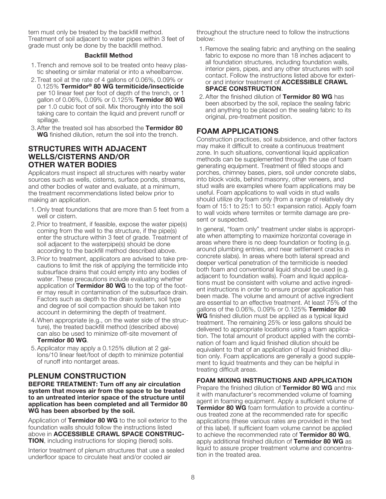tern must only be treated by the backfill method. Treatment of soil adjacent to water pipes within 3 feet of grade must only be done by the backfill method.

### **Backfill Method**

- 1.Trench and remove soil to be treated onto heavy plastic sheeting or similar material or into a wheelbarrow.
- 2.Treat soil at the rate of 4 gallons of 0.06%, 0.09% or 0.125% **Termidor® 80 WG termiticide/insecticide** per 10 linear feet per foot of depth of the trench, or 1 gallon of 0.06%, 0.09% or 0.125% **Termidor 80 WG** per 1.0 cubic foot of soil. Mix thoroughly into the soil taking care to contain the liquid and prevent runoff or spillage.
- 3.After the treated soil has absorbed the **Termidor 80 WG** finished dilution, return the soil into the trench.

# **STRUCTURES WITH ADJACENT WELLS/CISTERNS AND/OR OTHER WATER BODIES**

Applicators must inspect all structures with nearby water sources such as wells, cisterns, surface ponds, streams, and other bodies of water and evaluate, at a minimum, the treatment recommendations listed below prior to making an application.

- 1.Only treat foundations that are more than 5 feet from a well or cistern.
- 2.Prior to treatment, if feasible, expose the water pipe(s) coming from the well to the structure, if the pipe(s) enter the structure within 3 feet of grade. Treatment of soil adjacent to the waterpipe(s) should be done according to the backfill method described above.
- 3.Prior to treatment, applicators are advised to take precautions to limit the risk of applying the termiticide into subsurface drains that could empty into any bodies of water. These precautions include evaluating whether application of **Termidor 80 WG** to the top of the footer may result in contamination of the subsurface drain. Factors such as depth to the drain system, soil type and degree of soil compaction should be taken into account in determining the depth of treatment.
- 4.When appropriate (e.g., on the water side of the structure), the treated backfill method (described above) can also be used to minimize off-site movement of **Termidor 80 WG**.
- 5.Applicator may apply a 0.125% dilution at 2 gallons/10 linear feet/foot of depth to minimize potential of runoff into nontarget areas.

# **PLENUM CONSTRUCTION**

**BEFORE TREATMENT: Turn off any air circulation system that moves air from the space to be treated to an untreated interior space of the structure until application has been completed and all Termidor 80 WG has been absorbed by the soil.**

Application of **Termidor 80 WG** to the soil exterior to the foundation walls should follow the instructions listed above in **ACCESSIBLE CRAWL SPACE CONSTRUC-TION**, including instructions for sloping (tiered) soils.

Interior treatment of plenum structures that use a sealed underfloor space to circulate heat and/or cooled air

throughout the structure need to follow the instructions below:

- 1.Remove the sealing fabric and anything on the sealing fabric to expose no more than 18 inches adjacent to all foundation structures, including foundation walls, interior piers, pipes, and any other structures with soil contact. Follow the instructions listed above for exterior and interior treatment of **ACCESSIBLE CRAWL SPACE CONSTRUCTION**.
- 2.After the finished dilution of **Termidor 80 WG** has been absorbed by the soil, replace the sealing fabric and anything to be placed on the sealing fabric to its original, pre-treatment position.

# **FOAM APPLICATIONS**

Construction practices, soil subsidence, and other factors may make it difficult to create a continuous treatment zone. In such situations, conventional liquid application methods can be supplemented through the use of foam generating equipment. Treatment of filled stoops and porches, chimney bases, piers, soil under concrete slabs, into block voids, behind masonry, other veneers, and stud walls are examples where foam applications may be useful. Foam applications to wall voids in stud walls should utilize dry foam only (from a range of relatively dry foam of 15:1 to 25:1 to 50:1 expansion ratio). Apply foam to wall voids where termites or termite damage are present or suspected.

In general, "foam only" treatment under slabs is appropriate when attempting to maximize horizontal coverage in areas where there is no deep foundation or footing (e.g. around plumbing entries, and near settlement cracks in concrete slabs). In areas where both lateral spread and deeper vertical penetration of the termiticide is needed both foam and conventional liquid should be used (e.g. adjacent to foundation walls). Foam and liquid applications must be consistent with volume and active ingredient instructions in order to ensure proper application has been made. The volume and amount of active ingredient are essential to an effective treatment. At least 75% of the gallons of the 0.06%, 0.09% or 0.125% **Termidor 80 WG** finished dilution must be applied as a typical liquid treatment. The remaining 25% or less gallons should be delivered to appropriate locations using a foam application. The total amount of product applied with the combination of foam and liquid finished dilution should be equivalent to that of an application of liquid finished dilution only. Foam applications are generally a good supplement to liquid treatments and they can be helpful in treating difficult areas.

### **FOAM MIXING INSTRUCTIONS AND APPLICATION**

Prepare the finished dilution of **Termidor 80 WG** and mix it with manufacturer's recommended volume of foaming agent in foaming equipment. Apply a sufficient volume of **Termidor 80 WG** foam formulation to provide a continuous treated zone at the recommended rate for specific applications (these various rates are provided in the text of this label). If sufficient foam volume cannot be applied to achieve the recommended rate of **Termidor 80 WG**, apply additional finished dilution of **Termidor 80 WG** as liquid to assure proper treatment volume and concentration in the treated area.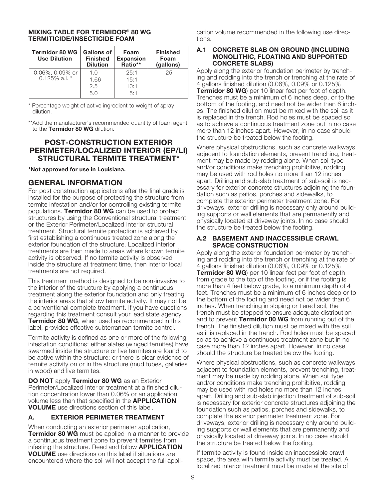### **MIXING TABLE FOR TERMIDOR® 80 WG TERMITICIDE/INSECTICIDE FOAM**

| <b>Termidor 80 WG</b><br><b>Use Dilution</b> | <b>Gallons of</b><br><b>Finished</b><br><b>Dilution</b> | Foam<br><b>Expansion</b><br>Ratio** | <b>Finished</b><br>Foam<br>(gallons) |
|----------------------------------------------|---------------------------------------------------------|-------------------------------------|--------------------------------------|
| 0.06%, 0.09% or<br>$0.125\%$ a.i. $*$        | 1.O                                                     | 25:1                                | 25                                   |
|                                              | 1.66                                                    | 15:1                                |                                      |
|                                              | 2.5                                                     | 10:1                                |                                      |
|                                              | 5.0                                                     | 5:1                                 |                                      |

\* Percentage weight of active ingredient to weight of spray dilution.

\*\*Add the manufacturer's recommended quantity of foam agent to the **Termidor 80 WG** dilution.

# **POST-CONSTRUCTION EXTERIOR PERIMETER/LOCALIZED INTERIOR (EP/LI) STRUCTURAL TERMITE TREATMENT\***

**\*Not approved for use in Louisiana.**

# **GENERAL INFORMATION**

For post construction applications after the final grade is installed for the purpose of protecting the structure from termite infestation and/or for controlling existing termite populations. **Termidor 80 WG** can be used to protect structures by using the Conventional structural treatment or the Exterior Perimeter/Localized Interior structural treatment. Structural termite protection is achieved by first establishing a continuous treated zone along the exterior foundation of the structure. Localized interior treatments are then made to areas where known termite activity is observed. If no termite activity is observed inside the structure at treatment time, then interior local treatments are not required.

This treatment method is designed to be non-invasive to the interior of the structure by applying a continuous treatment along the exterior foundation and only treating the interior areas that show termite activity. It may not be a conventional complete treatment. If you have questions regarding this treatment consult your lead state agency. **Termidor 80 WG**, when used as recommended in this label, provides effective subterranean termite control.

Termite activity is defined as one or more of the following infestation conditions: either alates (winged termites) have swarmed inside the structure or live termites are found to be active within the structure; or there is clear evidence of termite activity on or in the structure (mud tubes, galleries in wood) and live termites.

**DO NOT** apply **Termidor 80 WG** as an Exterior Perimeter/Localized Interior treatment at a finished dilution concentration lower than 0.06% or an application volume less than that specified in the **APPLICATION VOLUME** use directions section of this label.

# **A. EXTERIOR PERIMETER TREATMENT**

When conducting an exterior perimeter application, **Termidor 80 WG** must be applied in a manner to provide a continuous treatment zone to prevent termites from infesting the structure. Read and follow **APPLICATION VOLUME** use directions on this label if situations are encountered where the soil will not accept the full application volume recommended in the following use directions.

### **A.1 CONCRETE SLAB ON GROUND (INCLUDING MONOLITHIC, FLOATING AND SUPPORTED CONCRETE SLABS)**

Apply along the exterior foundation perimeter by trenching and rodding into the trench or trenching at the rate of 4 gallons finished dilution (0.06%, 0.09% or 0.125% **Termidor 80 WG**) per 10 linear feet per foot of depth. Trenches must be a minimum of 6 inches deep, or to the bottom of the footing, and need not be wider than 6 inches. The finished dilution must be mixed with the soil as it is replaced in the trench. Rod holes must be spaced so as to achieve a continuous treatment zone but in no case more than 12 inches apart. However, in no case should the structure be treated below the footing.

Where physical obstructions, such as concrete walkways adjacent to foundation elements, prevent trenching, treatment may be made by rodding alone. When soil type and/or conditions make trenching prohibitive, rodding may be used with rod holes no more than 12 inches apart. Drilling and sub-slab treatment of sub-soil is necessary for exterior concrete structures adjoining the foundation such as patios, porches and sidewalks, to complete the exterior perimeter treatment zone. For driveways, exterior drilling is necessary only around building supports or wall elements that are permanently and physically located at driveway joints. In no case should the structure be treated below the footing.

### **A.2 BASEMENT AND INACCESSIBLE CRAWL SPACE CONSTRUCTION**

Apply along the exterior foundation perimeter by trenching and rodding into the trench or trenching at the rate of 4 gallons finished dilution (0.06%, 0.09% or 0.125% **Termidor 80 WG**) per 10 linear feet per foot of depth from grade to the top of the footing, or if the footing is more than 4 feet below grade, to a minimum depth of 4 feet. Trenches must be a minimum of 6 inches deep or to the bottom of the footing and need not be wider than 6 inches. When trenching in sloping or tiered soil, the trench must be stepped to ensure adequate distribution and to prevent **Termidor 80 WG** from running out of the trench. The finished dilution must be mixed with the soil as it is replaced in the trench. Rod holes must be spaced so as to achieve a continuous treatment zone but in no case more than 12 inches apart. However, in no case should the structure be treated below the footing.

Where physical obstructions, such as concrete walkways adjacent to foundation elements, prevent trenching, treatment may be made by rodding alone. When soil type and/or conditions make trenching prohibitive, rodding may be used with rod holes no more than 12 inches apart. Drilling and sub-slab injection treatment of sub-soil is necessary for exterior concrete structures adjoining the foundation such as patios, porches and sidewalks, to complete the exterior perimeter treatment zone. For driveways, exterior drilling is necessary only around building supports or wall elements that are permanently and physically located at driveway joints. In no case should the structure be treated below the footing.

If termite activity is found inside an inaccessible crawl space, the area with termite activity must be treated. A localized interior treatment must be made at the site of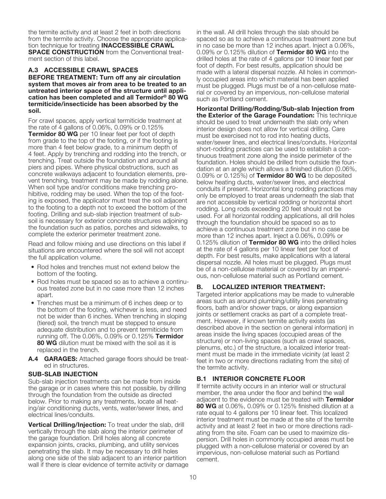the termite activity and at least 2 feet in both directions from the termite activity. Choose the appropriate application technique for treating **INACCESSIBLE CRAWL SPACE CONSTRUCTION** from the Conventional treatment section of this label.

### **A.3 ACCESSIBLE CRAWL SPACES**

**BEFORE TREATMENT: Turn off any air circulation system that moves air from area to be treated to an untreated interior space of the structure until application has been completed and all Termidor® 80 WG termiticide/insecticide has been absorbed by the soil.**

For crawl spaces, apply vertical termiticide treatment at the rate of 4 gallons of 0.06%, 0.09% or 0.125% **Termidor 80 WG** per 10 linear feet per foot of depth from grade to the top of the footing, or if the footing is more than 4 feet below grade, to a minimum depth of 4 feet. Apply by trenching and rodding into the trench, or trenching. Treat outside the foundation and around all piers and pipes. Where physical obstructions, such as concrete walkways adjacent to foundation elements, prevent trenching, treatment may be made by rodding alone. When soil type and/or conditions make trenching prohibitive, rodding may be used. When the top of the footing is exposed, the applicator must treat the soil adjacent to the footing to a depth not to exceed the bottom of the footing. Drilling and sub-slab injection treatment of subsoil is necessary for exterior concrete structures adjoining the foundation such as patios, porches and sidewalks, to complete the exterior perimeter treatment zone.

Read and follow mixing and use directions on this label if situations are encountered where the soil will not accept the full application volume.

- Rod holes and trenches must not extend below the bottom of the footing.
- Rod holes must be spaced so as to achieve a continuous treated zone but in no case more than 12 inches apart.
- Trenches must be a minimum of 6 inches deep or to the bottom of the footing, whichever is less, and need not be wider than 6 inches. When trenching in sloping (tiered) soil, the trench must be stepped to ensure adequate distribution and to prevent termiticide from running off. The 0.06%, 0.09% or 0.125% **Termidor 80 WG** dilution must be mixed with the soil as it is replaced in the trench.
- **A.4 GARAGES:** Attached garage floors should be treated in structures.

### **SUB-SLAB INJECTION**

Sub-slab injection treatments can be made from inside the garage or in cases where this not possible, by drilling through the foundation from the outside as directed below. Prior to making any treatments, locate all heating/air conditioning ducts, vents, water/sewer lines, and electrical lines/conduits.

**Vertical Drilling/Injection:** To treat under the slab, drill vertically through the slab along the interior perimeter of the garage foundation. Drill holes along all concrete expansion joints, cracks, plumbing, and utility services penetrating the slab. It may be necessary to drill holes along one side of the slab adjacent to an interior partition wall if there is clear evidence of termite activity or damage in the wall. All drill holes through the slab should be spaced so as to achieve a continuous treatment zone but in no case be more than 12 inches apart. Inject a 0.06%, 0.09% or 0.125% dilution of **Termidor 80 WG** into the drilled holes at the rate of 4 gallons per 10 linear feet per foot of depth. For best results, application should be made with a lateral dispersal nozzle. All holes in commonly occupied areas into which material has been applied must be plugged. Plugs must be of a non-cellulose material or covered by an impervious, non-cellulose material such as Portland cement.

**Horizontal Drilling/Rodding/Sub-slab Injection from the Exterior of the Garage Foundation:** This technique should be used to treat underneath the slab only when interior design does not allow for vertical drilling. Care must be exercised not to rod into heating ducts, water/sewer lines, and electrical lines/conduits. Horizontal short-rodding practices can be used to establish a continuous treatment zone along the inside perimeter of the foundation. Holes should be drilled from outside the foundation at an angle which allows a finished dilution (0.06%, 0.09% or 0.125%) of **Termidor 80 WG** to be deposited below heating ducts, water/sewer lines, and electrical conduits if present. Horizontal long rodding practices may only be employed to treat areas underneath the slab that are not accessible by vertical rodding or horizontal short rodding. Long rods exceeding 20 feet should not be used. For all horizontal rodding applications, all drill holes through the foundation should be spaced so as to achieve a continuous treatment zone but in no case be more than 12 inches apart. Inject a 0.06%, 0.09% or 0.125% dilution of **Termidor 80 WG** into the drilled holes at the rate of 4 gallons per 10 linear feet per foot of depth. For best results, make applications with a lateral dispersal nozzle. All holes must be plugged. Plugs must be of a non-cellulose material or covered by an impervious, non-cellulose material such as Portland cement.

### **B. LOCALIZED INTERIOR TREATMENT:**

Targeted interior applications may be made to vulnerable areas such as around plumbing/utility lines penetrating floors, bath and/or shower traps, or along expansion joints or settlement cracks as part of a complete treatment. However, if known termite activity exists (as described above in the section on general information) in areas inside the living spaces (occupied areas of the structure) or non-living spaces (such as crawl spaces, plenums, etc.) of the structure, a localized interior treatment must be made in the immediate vicinity (at least 2 feet in two or more directions radiating from the site) of the termite activity.

### **B.1 INTERIOR CONCRETE FLOOR**

If termite activity occurs in an interior wall or structural member, the area under the floor and behind the wall adjacent to the evidence must be treated with **Termidor 80 WG** at 0.06%, 0.09% or 0.125% finished dilution at a rate equal to 4 gallons per 10 linear feet. This localized interior treatment must be made at the site of the termite activity and at least 2 feet in two or more directions radiating from the site. Foam can be used to maximize dispersion. Drill holes in commonly occupied areas must be plugged with a non-cellulose material or covered by an impervious, non-cellulose material such as Portland cement.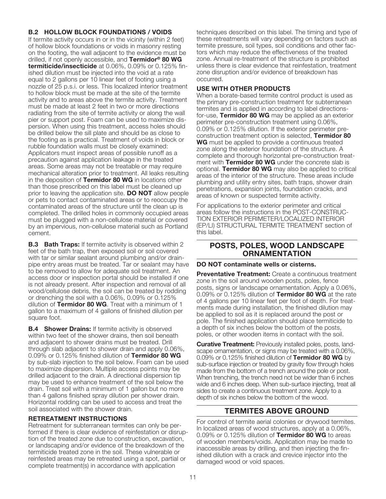### **B.2 HOLLOW BLOCK FOUNDATIONS / VOIDS**

If termite activity occurs in or in the vicinity (within 2 feet) of hollow block foundations or voids in masonry resting on the footing, the wall adjacent to the evidence must be drilled, if not openly accessible, and **Termidor® 80 WG termiticide/insecticide** at 0.06%, 0.09% or 0.125% finished dilution must be injected into the void at a rate equal to 2 gallons per 10 linear feet of footing using a nozzle of 25 p.s.i. or less. This localized interior treatment to hollow block must be made at the site of the termite activity and to areas above the termite activity. Treatment must be made at least 2 feet in two or more directions radiating from the site of termite activity or along the wall pier or support post. Foam can be used to maximize dispersion. When using this treatment, access holes should be drilled below the sill plate and should be as close to the footing as is practical. Treatment of voids in block or rubble foundation walls must be closely examined: Applicators must inspect areas of possible runoff as a precaution against application leakage in the treated areas. Some areas may not be treatable or may require mechanical alteration prior to treatment. All leaks resulting in the deposition of **Termidor 80 WG** in locations other than those prescribed on this label must be cleaned up prior to leaving the application site. **DO NOT** allow people or pets to contact contaminated areas or to reoccupy the contaminated areas of the structure until the clean up is completed. The drilled holes in commonly occupied areas must be plugged with a non-cellulose material or covered by an impervious, non-cellulose material such as Portland cement.

**B.3 Bath Traps:** If termite activity is observed within 2 feet of the bath trap, then exposed soil or soil covered with tar or similar sealant around plumbing and/or drainpipe entry areas must be treated. Tar or sealant may have to be removed to allow for adequate soil treatment. An access door or inspection portal should be installed if one is not already present. After inspection and removal of all wood/cellulose debris, the soil can be treated by rodding or drenching the soil with a 0.06%, 0.09% or 0.125% dilution of **Termidor 80 WG**. Treat with a minimum of 1 gallon to a maximum of 4 gallons of finished dilution per square foot.

**B.4 Shower Drains:** If termite activity is observed within two feet of the shower drains, then soil beneath and adjacent to shower drains must be treated. Drill through slab adjacent to shower drain and apply 0.06%, 0.09% or 0.125% finished dilution of **Termidor 80 WG** by sub-slab injection to the soil below. Foam can be used to maximize dispersion. Multiple access points may be drilled adjacent to the drain. A directional dispersion tip may be used to enhance treatment of the soil below the drain. Treat soil with a minimum of 1 gallon but no more than 4 gallons finished spray dilution per shower drain. Horizontal rodding can be used to access and treat the soil associated with the shower drain.

### **RETREATMENT INSTRUCTIONS**

Retreatment for subterranean termites can only be performed if there is clear evidence of reinfestation or disruption of the treated zone due to construction, excavation, or landscaping and/or evidence of the breakdown of the termiticide treated zone in the soil. These vulnerable or reinfested areas may be retreated using a spot, partial or complete treatment(s) in accordance with application

techniques described on this label. The timing and type of these retreatments will vary depending on factors such as termite pressure, soil types, soil conditions and other factors which may reduce the effectiveness of the treated zone. Annual re-treatment of the structure is prohibited unless there is clear evidence that reinfestation, treatment zone disruption and/or evidence of breakdown has occurred.

### **USE WITH OTHER PRODUCTS**

When a borate-based termite control product is used as the primary pre-construction treatment for subterranean termites and is applied in according to label directionsfor-use, **Termidor 80 WG** may be applied as an exterior perimeter pre-construction treatment using 0.06%, 0.09% or 0.125% dilution. If the exterior perimeter preconstruction treatment option is selected, **Termidor 80 WG** must be applied to provide a continuous treated zone along the exterior foundation of the structure. A complete and thorough horizontal pre-construction treatment with **Termidor 80 WG** under the concrete slab is optional. **Termidor 80 WG** may also be applied to critical areas of the interior of the structure. These areas include plumbing and utility entry sites, bath traps, shower drain penetrations, expansion joints, foundation cracks, and areas of known or suspected termite activity.

For applications to the exterior perimeter and critical areas follow the instructions in the POST-CONSTRUC-TION EXTERIOR PERIMETER/LOCALIZED INTERIOR (EP/LI) STRUCTURAL TERMITE TREATMENT section of this label.

# **POSTS, POLES, WOOD LANDSCAPE ORNAMENTATION**

### **DO NOT contaminate wells or cisterns.**

**Preventative Treatment:** Create a continuous treatment zone in the soil around wooden posts, poles, fence posts, signs or landscape ornamentation. Apply a 0.06%, 0.09% or 0.125% dilution of **Termidor 80 WG** at the rate of 4 gallons per 10 linear feet per foot of depth. For treatments made during installation, the finished dilution may be applied to soil as it is replaced around the post or pole. The finished application should place termiticide to a depth of six inches below the bottom of the posts, poles, or other wooden items in contact with the soil.

**Curative Treatment:** Previously installed poles, posts, landscape ornamentation, or signs may be treated with a 0.06%, 0.09% or 0.125% finished dilution of **Termidor 80 WG** by sub-surface injection or treated by gravity flow through holes made from the bottom of a trench around the pole or post. When trenching, the trench need not be wider than 6 inches wide and 6 inches deep. When sub-surface injecting, treat all sides to create a continuous treatment zone. Apply to a depth of six inches below the bottom of the wood.

# **TERMITES ABOVE GROUND**

For control of termite aerial colonies or drywood termites. In localized areas of wood structures, apply at a 0.06%, 0.09% or 0.125% dilution of **Termidor 80 WG** to areas of wooden members/voids. Application may be made to inaccessible areas by drilling, and then injecting the finished dilution with a crack and crevice injector into the damaged wood or void spaces.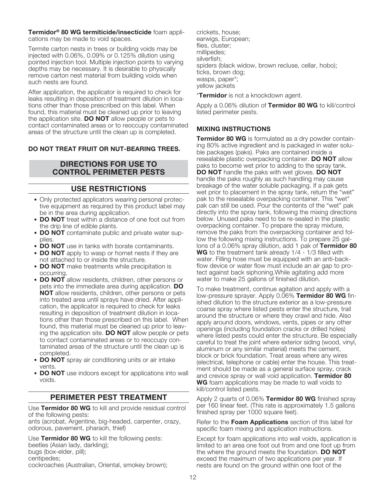**Termidor® 80 WG termiticide/insecticide** foam applications may be made to void spaces.

Termite carton nests in trees or building voids may be injected with 0.06%, 0.09% or 0.125% dilution using pointed injection tool. Multiple injection points to varying depths may be necessary. It is desirable to physically remove carton nest material from building voids when such nests are found.

After application, the applicator is required to check for leaks resulting in deposition of treatment dilution in locations other than those prescribed on this label. When found, this material must be cleaned up prior to leaving the application site. **DO NOT** allow people or pets to contact contaminated areas or to reoccupy contaminated areas of the structure until the clean up is completed.

# **DO NOT TREAT FRUIT OR NUT-BEARING TREES.**

# **DIRECTIONS FOR USE TO CONTROL PERIMETER PESTS**

# **USE RESTRICTIONS**

- **•** Only protected applicators wearing personal protective equipment as required by this product label may be in the area during application.
- **• DO NOT** treat within a distance of one foot out from the drip line of edible plants.
- **• DO NOT** contaminate public and private water supplies.
- **• DO NOT** use in tanks with borate contaminants.
- **• DO NOT** apply to wasp or hornet nests if they are not attached to or inside the structure.
- **• DO NOT** make treatments while precipitation is occurring.
- **• DO NOT** allow residents, children, other persons or pets into the immediate area during application. **DO NOT** allow residents, children, other persons or pets into treated area until sprays have dried. After application, the applicator is required to check for leaks resulting in deposition of treatment dilution in locations other than those prescribed on this label. When found, this material must be cleaned up prior to leaving the application site. **DO NOT** allow people or pets to contact contaminated areas or to reoccupy contaminated areas of the structure until the clean up is completed.
- **• DO NOT** spray air conditioning units or air intake vents.
- **• DO NOT** use indoors except for applications into wall voids.

# **PERIMETER PEST TREATMENT**

Use **Termidor 80 WG** to kill and provide residual control of the following pests:

ants (acrobat, Argentine, big-headed, carpenter, crazy, odorous, pavement, pharaoh, thief)

Use **Termidor 80 WG** to kill the following pests: beetles (Asian lady, darkling); bugs (box-elder, pill); centipedes; cockroaches (Australian, Oriental, smokey brown);

crickets, house; earwigs, European; flies, cluster; millipedes; silverfish; spiders (black widow, brown recluse, cellar, hobo); ticks, brown dog; wasps, paper\*; yellow jackets

\***Termidor** is not a knockdown agent.

Apply a 0.06% dilution of **Termidor 80 WG** to kill/control listed perimeter pests.

### **MIXING INSTRUCTIONS**

**Termidor 80 WG** is formulated as a dry powder containing 80% active ingredient and is packaged in water soluble packages (paks). Paks are contained inside a resealable plastic overpacking container. **DO NOT** allow paks to become wet prior to adding to the spray tank. **DO NOT** handle the paks with wet gloves. **DO NOT** handle the paks roughly as such handling may cause breakage of the water soluble packaging. If a pak gets wet prior to placement in the spray tank, return the "wet" pak to the resealable overpacking container. This "wet" pak can still be used. Pour the contents of the "wet" pak directly into the spray tank, following the mixing directions below. Unused paks need to be re-sealed in the plastic overpacking container. To prepare the spray mixture, remove the paks from the overpacking container and follow the following mixing instructions. To prepare 25 gallons of a 0.06% spray dilution, add 1 pak of **Termidor 80 WG** to the treatment tank already 1/4 - 1/3 filled with water. Filling hose must be equipped with an anti-backflow device or water flow must include an air gap to protect against back siphoning.While agitating add more water to make 25 gallons of finished dilution.

To make treatment, continue agitation and apply with a low-pressure sprayer. Apply 0.06% **Termidor 80 WG** finished dilution to the structure exterior as a low-pressure coarse spray where listed pests enter the structure, trail around the structure or where they crawl and hide. Also apply around doors, windows, vents, pipes or any other openings (including foundation cracks or drilled holes) where listed pests could enter the structure. Be especially careful to treat the joint where exterior siding (wood, vinyl, aluminum or any similar material) meets the cement, block or brick foundation. Treat areas where any wires (electrical, telephone or cable) enter the house. This treatment should be made as a general surface spray, crack and crevice spray or wall void application. **Termidor 80 WG** foam applications may be made to wall voids to kill/control listed pests.

Apply 2 quarts of 0.06% **Termidor 80 WG** finished spray per 160 linear feet. (This rate is approximately 1.5 gallons finished spray per 1000 square feet).

Refer to the **Foam Applications** section of this label for specific foam mixing and application instructions.

Except for foam applications into wall voids, application is limited to an area one foot out from and one foot up from the where the ground meets the foundation. **DO NOT** exceed the maximum of two applications per year. If nests are found on the ground within one foot of the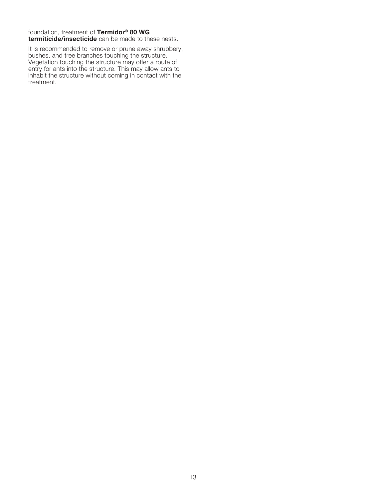### foundation, treatment of **Termidor® 80 WG**

**termiticide/insecticide** can be made to these nests.

It is recommended to remove or prune away shrubbery, bushes, and tree branches touching the structure. Vegetation touching the structure may offer a route of entry for ants into the structure. This may allow ants to inhabit the structure without coming in contact with the treatment.